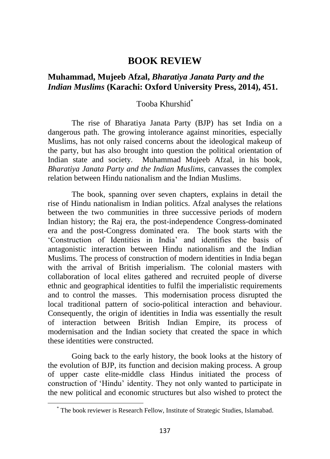## **BOOK REVIEW**

## **Muhammad, Mujeeb Afzal,** *Bharatiya Janata Party and the Indian Muslims* **(Karachi: Oxford University Press, 2014), 451.**

## Tooba Khurshid\*

The rise of Bharatiya Janata Party (BJP) has set India on a dangerous path. The growing intolerance against minorities, especially Muslims, has not only raised concerns about the ideological makeup of the party, but has also brought into question the political orientation of Indian state and society. Muhammad Mujeeb Afzal, in his book*, Bharatiya Janata Party and the Indian Muslims,* canvasses the complex relation between Hindu nationalism and the Indian Muslims.

The book, spanning over seven chapters, explains in detail the rise of Hindu nationalism in Indian politics. Afzal analyses the relations between the two communities in three successive periods of modern Indian history; the Raj era, the post-independence Congress-dominated era and the post-Congress dominated era. The book starts with the 'Construction of Identities in India' and identifies the basis of antagonistic interaction between Hindu nationalism and the Indian Muslims. The process of construction of modern identities in India began with the arrival of British imperialism. The colonial masters with collaboration of local elites gathered and recruited people of diverse ethnic and geographical identities to fulfil the imperialistic requirements and to control the masses. This modernisation process disrupted the local traditional pattern of socio-political interaction and behaviour. Consequently, the origin of identities in India was essentially the result of interaction between British Indian Empire, its process of modernisation and the Indian society that created the space in which these identities were constructed.

Going back to the early history, the book looks at the history of the evolution of BJP, its function and decision making process. A group of upper caste elite-middle class Hindus initiated the process of construction of 'Hindu' identity. They not only wanted to participate in the new political and economic structures but also wished to protect the

<sup>\*</sup> The book reviewer is Research Fellow, Institute of Strategic Studies, Islamabad.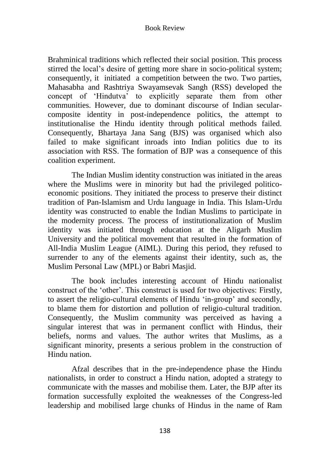## Book Review

Brahminical traditions which reflected their social position. This process stirred the local's desire of getting more share in socio-political system; consequently, it initiated a competition between the two. Two parties, Mahasabha and Rashtriya Swayamsevak Sangh (RSS) developed the concept of 'Hindutva' to explicitly separate them from other communities. However, due to dominant discourse of Indian secularcomposite identity in post-independence politics, the attempt to institutionalise the Hindu identity through political methods failed. Consequently, Bhartaya Jana Sang (BJS) was organised which also failed to make significant inroads into Indian politics due to its association with RSS. The formation of BJP was a consequence of this coalition experiment.

The Indian Muslim identity construction was initiated in the areas where the Muslims were in minority but had the privileged politicoeconomic positions. They initiated the process to preserve their distinct tradition of Pan-Islamism and Urdu language in India. This Islam-Urdu identity was constructed to enable the Indian Muslims to participate in the modernity process. The process of institutionalization of Muslim identity was initiated through education at the Aligarh Muslim University and the political movement that resulted in the formation of All-India Muslim League (AIML). During this period, they refused to surrender to any of the elements against their identity, such as, the Muslim Personal Law (MPL) or Babri Masjid.

The book includes interesting account of Hindu nationalist construct of the 'other'. This construct is used for two objectives: Firstly, to assert the religio-cultural elements of Hindu 'in-group' and secondly, to blame them for distortion and pollution of religio-cultural tradition. Consequently, the Muslim community was perceived as having a singular interest that was in permanent conflict with Hindus, their beliefs, norms and values. The author writes that Muslims, as a significant minority, presents a serious problem in the construction of Hindu nation.

Afzal describes that in the pre-independence phase the Hindu nationalists, in order to construct a Hindu nation, adopted a strategy to communicate with the masses and mobilise them. Later, the BJP after its formation successfully exploited the weaknesses of the Congress-led leadership and mobilised large chunks of Hindus in the name of Ram